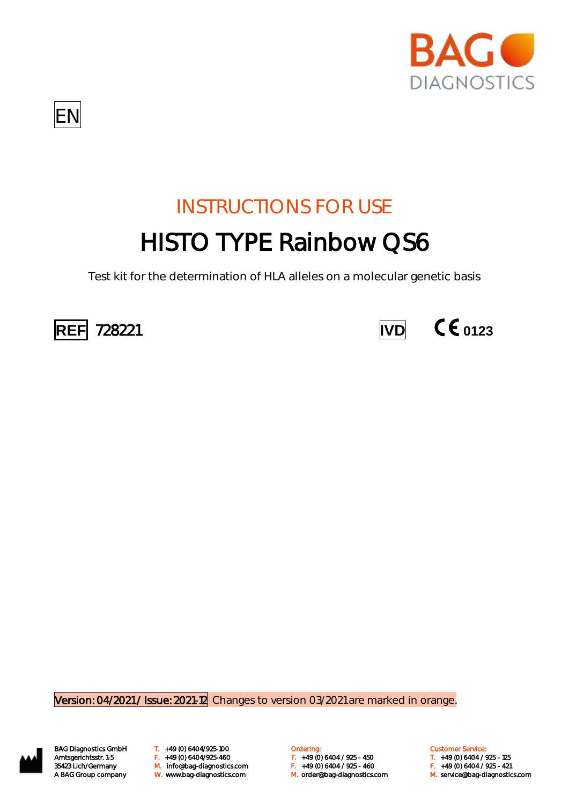



# INSTRUCTIONS FOR USE HISTO TYPE Rainbow QS6

Test kit for the determination of HLA alleles on a molecular genetic basis





Version: 04/2021 / Issue: 2021-12 Changes to version 03/2021 are marked in orange.



BAG Diagnostics GmbH T. +49 (0) 6404/925-100 **Cambridge Condering:** Customer Service: Customer Service: M. orderlang-1353 Amtsgerichtsstr. 1-5 (1992) F. (1940) 6404/925-460 (1940) F. (1940) 6404 / 925 - 450 F. (1940) 6404 / 925<br>35423 Lich/Germany M. Info@bag-diagnostics.com (1940) F. (1940) 6404 / 925 - 460 F. (1940) 6404 / 925 - 421 A BAG Group company W. www.bag-diagnostics.com M. order@bag-diagnostics.com M. service@bag-diagnostics.com

Amtsgerichtsstr. 1-5 F. +49 (0) 6404/925-460 T. +49 (0) 6404 / 925 - 450 T. +49 (0) 6404 / 925 - 125

- 
-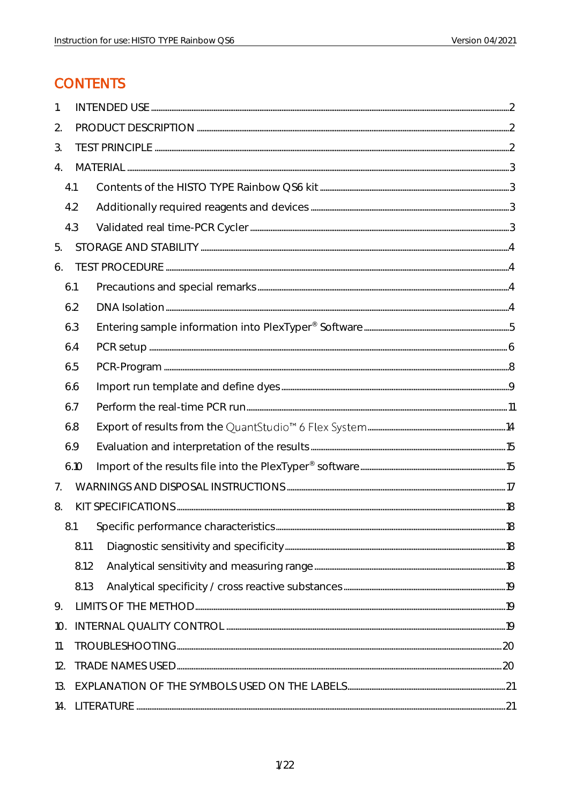## **CONTENTS**

| 1.  |       |                 |  |
|-----|-------|-----------------|--|
| 2.  |       |                 |  |
| 3.  |       |                 |  |
| 4.  |       |                 |  |
|     | 4.1   |                 |  |
|     | 4.2   |                 |  |
|     | 4.3   |                 |  |
| 5.  |       |                 |  |
| 6.  |       |                 |  |
|     | 6.1   |                 |  |
|     | 6.2   | $DNA~lsolation$ |  |
|     | 6.3   |                 |  |
|     | 6.4   |                 |  |
|     | 6.5   |                 |  |
|     | 6.6   |                 |  |
|     | 6.7   |                 |  |
|     | 6.8   |                 |  |
|     | 6.9   |                 |  |
|     | 6.10  |                 |  |
| 7.  |       |                 |  |
| 8.  |       |                 |  |
|     | 8.1   |                 |  |
|     | 8.1.1 |                 |  |
|     | 8.1.2 |                 |  |
|     | 8.1.3 |                 |  |
| 9.  |       |                 |  |
| 10. |       |                 |  |
| 11. |       |                 |  |
| 12. |       |                 |  |
| 13. |       |                 |  |
| 14. |       |                 |  |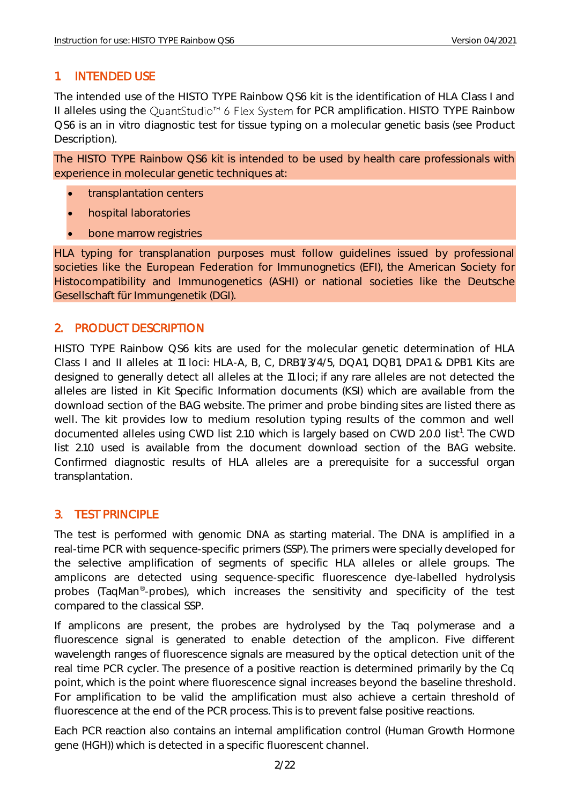## <span id="page-2-0"></span>1. INTENDED USE

The intended use of the HISTO TYPE Rainbow QS6 kit is the identification of HLA Class I and II alleles using the QuantStudio<sup>™</sup> 6 Flex System for PCR amplification. HISTO TYPE Rainbow QS6 is an in vitro diagnostic test for tissue typing on a molecular genetic basis (see Product Description).

The HISTO TYPE Rainbow QS6 kit is intended to be used by health care professionals with experience in molecular genetic techniques at:

- transplantation centers
- hospital laboratories
- bone marrow registries

HLA typing for transplanation purposes must follow guidelines issued by professional societies like the European Federation for Immunognetics (EFI), the American Society for Histocompatibility and Immunogenetics (ASHI) or national societies like the Deutsche Gesellschaft für Immungenetik (DGI).

## <span id="page-2-1"></span>2. PRODUCT DESCRIPTION

HISTO TYPE Rainbow QS6 kits are used for the molecular genetic determination of HLA Class I and II alleles at 11 loci: HLA-A, B, C, DRB1/3/4/5, DQA1, DQB1, DPA1 & DPB1. Kits are designed to generally detect all alleles at the 11 loci; if any rare alleles are not detected the alleles are listed in Kit Specific Information documents (KSI) which are available from the download section of the BAG website. The primer and probe binding sites are listed there as well. The kit provides low to medium resolution typing results of the common and well documented alleles using CWD list 2.1.0 which is largely based on CWD 2.0.0 list<sup>1</sup>. The CWD list 2.1.0 used is available from the document download section of the BAG website. Confirmed diagnostic results of HLA alleles are a prerequisite for a successful organ transplantation.

#### <span id="page-2-2"></span>3. TEST PRINCIPLE

The test is performed with genomic DNA as starting material. The DNA is amplified in a real-time PCR with sequence-specific primers (SSP). The primers were specially developed for the selective amplification of segments of specific HLA alleles or allele groups. The amplicons are detected using sequence-specific fluorescence dye-labelled hydrolysis probes (TaqMan<sup>®</sup>-probes), which increases the sensitivity and specificity of the test compared to the classical SSP.

If amplicons are present, the probes are hydrolysed by the Taq polymerase and a fluorescence signal is generated to enable detection of the amplicon. Five different wavelength ranges of fluorescence signals are measured by the optical detection unit of the real time PCR cycler. The presence of a positive reaction is determined primarily by the Cq point, which is the point where fluorescence signal increases beyond the baseline threshold. For amplification to be valid the amplification must also achieve a certain threshold of fluorescence at the end of the PCR process. This is to prevent false positive reactions.

Each PCR reaction also contains an internal amplification control (Human Growth Hormone gene (HGH)) which is detected in a specific fluorescent channel.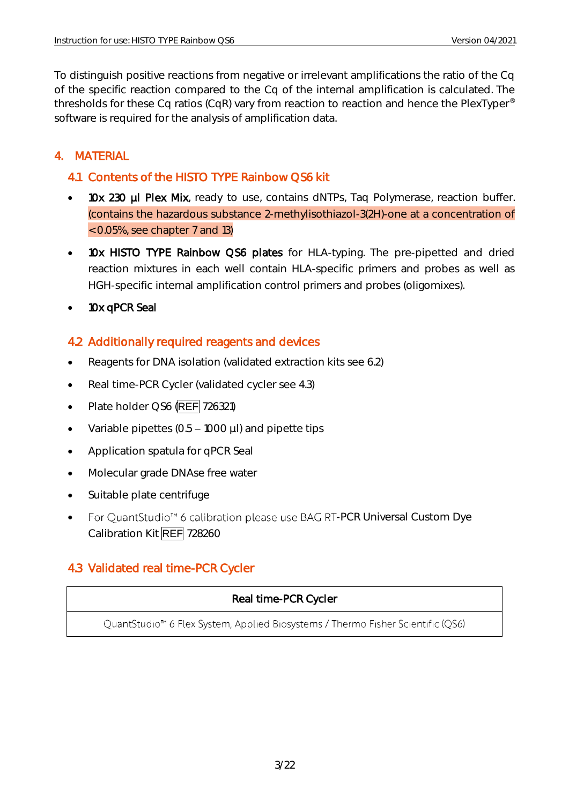To distinguish positive reactions from negative or irrelevant amplifications the ratio of the Cq of the specific reaction compared to the Cq of the internal amplification is calculated. The thresholds for these Cq ratios (CqR) vary from reaction to reaction and hence the PlexTyper® software is required for the analysis of amplification data.

## <span id="page-3-0"></span>4. MATERIAL

## <span id="page-3-1"></span>4.1 Contents of the HISTO TYPE Rainbow QS6 kit

- 10x 230 µl Plex Mix, ready to use, contains dNTPs, Taq Polymerase, reaction buffer. (contains the hazardous substance 2-methylisothiazol-3(2H)-one at a concentration of < 0.05%, see chapter 7 and 13)
- 10x HISTO TYPE Rainbow QS6 plates for HLA-typing. The pre-pipetted and dried reaction mixtures in each well contain HLA-specific primers and probes as well as HGH-specific internal amplification control primers and probes (oligomixes).
- 10x qPCR Seal

## <span id="page-3-2"></span>4.2 Additionally required reagents and devices

- Reagents for DNA isolation (validated extraction kits see 6.2)
- Real time-PCR Cycler (validated cycler see 4.3)
- Plate holder QS6 (REF 726321)
- Variable pipettes  $(0.5 1000 \mu l)$  and pipette tips
- Application spatula for qPCR Seal
- Molecular grade DNAse free water
- Suitable plate centrifuge
- For QuantStudio<sup>™</sup> 6 calibration please use BAG RT-PCR Universal Custom Dye Calibration Kit REF 728260

## <span id="page-3-3"></span>4.3 Validated real time-PCR Cycler

## Real time-PCR Cycler

QuantStudio<sup>™</sup> 6 Flex System, Applied Biosystems / Thermo Fisher Scientific (QS6)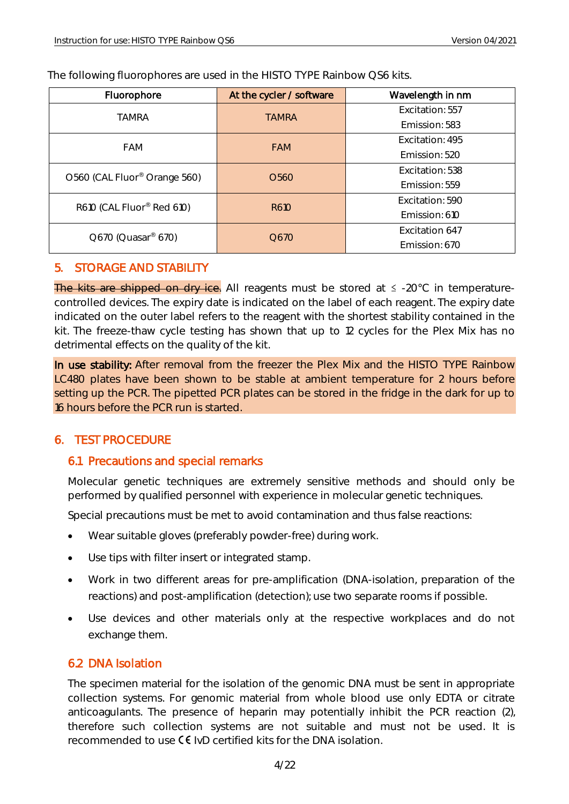The following fluorophores are used in the HISTO TYPE Rainbow QS6 kits.

| Fluorophore                              | At the cycler / software | Wavelength in nm |
|------------------------------------------|--------------------------|------------------|
| <b>TAMRA</b>                             | <b>TAMRA</b>             | Excitation: 557  |
|                                          |                          | Emission: 583    |
| <b>FAM</b>                               | <b>FAM</b>               | Excitation: 495  |
|                                          |                          | Emission: 520    |
| O560 (CAL Fluor <sup>®</sup> Orange 560) | O <sub>560</sub>         | Excitation: 538  |
|                                          |                          | Emission: 559    |
| R610 (CAL Fluor® Red 610)                | R610                     | Excitation: 590  |
|                                          |                          | Emission: 610    |
| Q670 (Quasar® 670)                       | O <sub>6</sub> 70        | Excitation 647   |
|                                          |                          | Emission: 670    |

#### <span id="page-4-0"></span>5. STORAGE AND STABILITY

The kits are shipped on dry ice. All reagents must be stored at  $\leq$  -20°C in temperaturecontrolled devices. The expiry date is indicated on the label of each reagent. The expiry date indicated on the outer label refers to the reagent with the shortest stability contained in the kit. The freeze-thaw cycle testing has shown that up to 12 cycles for the Plex Mix has no detrimental effects on the quality of the kit.

In use stability: After removal from the freezer the Plex Mix and the HISTO TYPE Rainbow LC480 plates have been shown to be stable at ambient temperature for 2 hours before setting up the PCR. The pipetted PCR plates can be stored in the fridge in the dark for up to 16 hours before the PCR run is started.

## <span id="page-4-1"></span>6. TEST PROCEDURE

## <span id="page-4-2"></span>6.1 Precautions and special remarks

Molecular genetic techniques are extremely sensitive methods and should only be performed by qualified personnel with experience in molecular genetic techniques.

Special precautions must be met to avoid contamination and thus false reactions:

- Wear suitable gloves (preferably powder-free) during work.
- Use tips with filter insert or integrated stamp.
- Work in two different areas for pre-amplification (DNA-isolation, preparation of the reactions) and post-amplification (detection); use two separate rooms if possible.
- Use devices and other materials only at the respective workplaces and do not exchange them.

## <span id="page-4-3"></span>6.2 DNA Isolation

The specimen material for the isolation of the genomic DNA must be sent in appropriate collection systems. For genomic material from whole blood use only EDTA or citrate anticoagulants. The presence of heparin may potentially inhibit the PCR reaction (2), therefore such collection systems are not suitable and must not be used. It is recommended to use  $\mathsf{CE}$  IvD certified kits for the DNA isolation.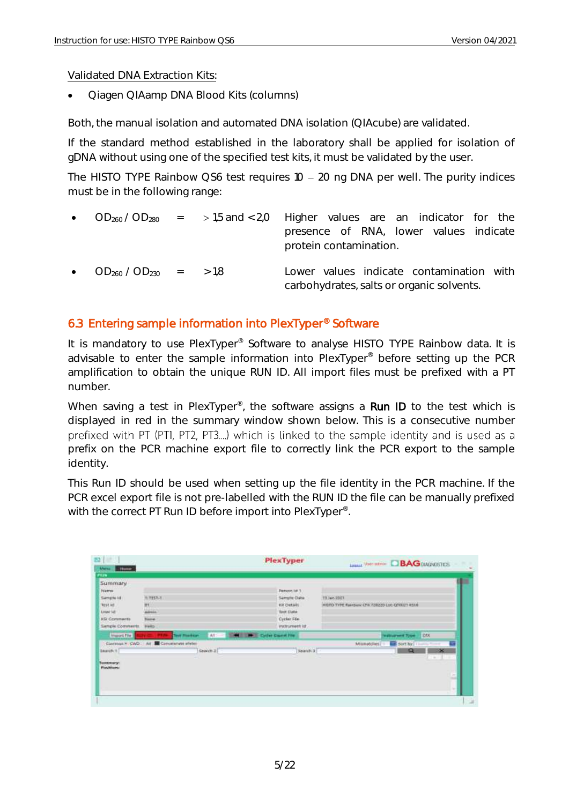#### Validated DNA Extraction Kits:

• Qiagen QIAamp DNA Blood Kits (columns)

Both, the manual isolation and automated DNA isolation (QIAcube) are validated.

If the standard method established in the laboratory shall be applied for isolation of gDNA without using one of the specified test kits, it must be validated by the user.

The HISTO TYPE Rainbow QS6 test requires  $10 - 20$  ng DNA per well. The purity indices must be in the following range:

|                                 |  | • $OD_{260}/OD_{280}$ = >1,5 and < 2,0 Higher values are an indicator for the         |
|---------------------------------|--|---------------------------------------------------------------------------------------|
|                                 |  | presence of RNA, lower values indicate<br>protein contamination.                      |
| • $OD_{260} / OD_{230}$ = > 1.8 |  | Lower values indicate contamination with<br>carbohydrates, salts or organic solvents. |

#### <span id="page-5-0"></span>6.3 Entering sample information into PlexTyper® Software

It is mandatory to use PlexTyper<sup>®</sup> Software to analyse HISTO TYPE Rainbow data. It is advisable to enter the sample information into PlexTyper® before setting up the PCR amplification to obtain the unique RUN ID. All import files must be prefixed with a PT number.

When saving a test in PlexTyper<sup>®</sup>, the software assigns a Run ID to the test which is displayed in red in the summary window shown below. This is a consecutive number prefixed with PT (PTI, PT2, PT3....) which is linked to the sample identity and is used as a prefix on the PCR machine export file to correctly link the PCR export to the sample identity.

This Run ID should be used when setting up the file identity in the PCR machine. If the PCR excel export file is not pre-labelled with the RUN ID the file can be manually prefixed with the correct PT Run ID before import into PlexTyper<sup>®</sup>. .

| 图                                             |                                      | PlexTyper                            | <b>Legand View Institute DBAG</b> DIADANCETICS  |
|-----------------------------------------------|--------------------------------------|--------------------------------------|-------------------------------------------------|
| Merse.<br><b>Stores</b>                       |                                      |                                      |                                                 |
| 40                                            |                                      |                                      |                                                 |
| Summary                                       |                                      |                                      |                                                 |
| <b>Name</b>                                   |                                      | <b>Person list 1</b>                 |                                                 |
| Sample (d)                                    | <b>HIPER-H</b>                       | Sample Date                          | 13 July 2011                                    |
| <b>TESTAS</b>                                 | m                                    | Kit Details                          | HISTO TYPE Rainbow CPS 728220 Line C/T0021 8516 |
| LAUN 143                                      | Advenis.                             | Test Date                            |                                                 |
| <b>KSI Comments</b>                           | <b>Tissue</b>                        | Cycler File                          |                                                 |
| Sample Comments                               | Help.                                | indrument id:                        |                                                 |
| <b>Import Five</b>                            | 417<br><b>Text Platform</b><br>- 1   | <b>STATE LIMIT Cycler Cross Fire</b> | <b>IDOK</b><br><b>Instrument Type:</b>          |
|                                               | Convent * CWD: All Encatement ideter |                                      | Militipo (Tes)<br>sort by District              |
| Bearch 9.                                     | Search 21                            | Nearch 3                             | $\infty$<br>a                                   |
| <b>CONTRACTOR</b>                             |                                      |                                      | $-11$                                           |
| <b><i><u>Senatomerst</u></i></b><br>Positivas |                                      |                                      |                                                 |
|                                               |                                      |                                      |                                                 |
|                                               |                                      |                                      | ×<br>m                                          |
|                                               |                                      |                                      |                                                 |
|                                               |                                      |                                      | $\sim$                                          |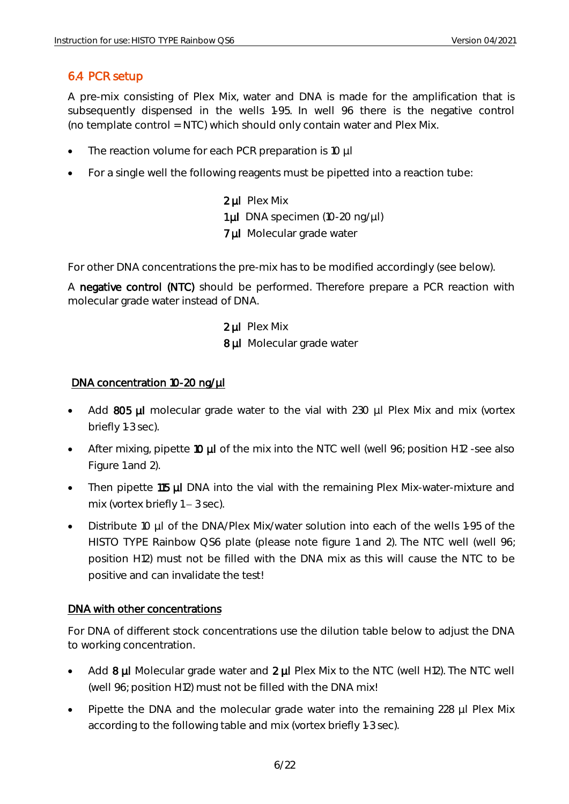## <span id="page-6-0"></span>6.4 PCR setup

A pre-mix consisting of Plex Mix, water and DNA is made for the amplification that is subsequently dispensed in the wells 1-95. In well 96 there is the negative control (no template control = NTC) which should only contain water and Plex Mix.

- The reaction volume for each PCR preparation is 10 µl
- For a single well the following reagents must be pipetted into a reaction tube:

2 µl Plex Mix 1 µl DNA specimen (10-20 ng/µl) 7 µl Molecular grade water

For other DNA concentrations the pre-mix has to be modified accordingly (see below).

A negative control (NTC) should be performed. Therefore prepare a PCR reaction with molecular grade water instead of DNA.

> 2 µl Plex Mix 8 µl Molecular grade water

#### DNA concentration 10-20 ng/µl

- Add 805 µl molecular grade water to the vial with 230 µl Plex Mix and mix (vortex briefly 1-3 sec).
- After mixing, pipette 10 µl of the mix into the NTC well (well 96; position H12 -see also Figure 1 and 2).
- Then pipette 115 µl DNA into the vial with the remaining Plex Mix-water-mixture and mix (vortex briefly  $1 - 3$  sec).
- Distribute 10 µl of the DNA/Plex Mix/water solution into each of the wells 1-95 of the HISTO TYPE Rainbow QS6 plate (please note figure 1 and 2). The NTC well (well 96; position H12) must not be filled with the DNA mix as this will cause the NTC to be positive and can invalidate the test!

#### DNA with other concentrations

For DNA of different stock concentrations use the dilution table below to adjust the DNA to working concentration.

- Add  $8 \mu$ I Molecular grade water and  $2 \mu$ I Plex Mix to the NTC (well H12). The NTC well (well 96; position H12) must not be filled with the DNA mix!
- Pipette the DNA and the molecular grade water into the remaining 228 µl Plex Mix according to the following table and mix (vortex briefly 1-3 sec).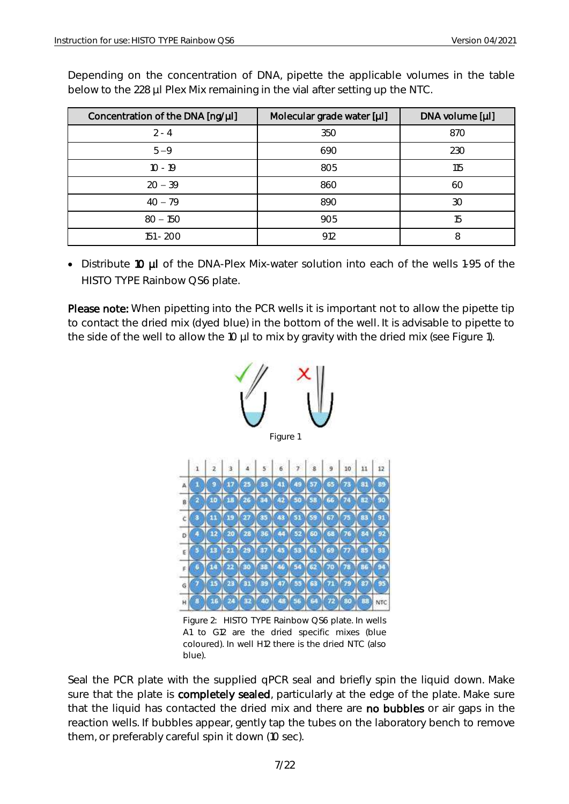| Concentration of the DNA [ng/µl] | Molecular grade water [µl] | DNA volume [µl] |
|----------------------------------|----------------------------|-----------------|
| $2 - 4$                          | 350                        | 870             |
| $5 - 9$                          | 690                        | 230             |
| $10 - 19$                        | 805                        | 115             |
| $20 - 39$                        | 860                        | 60              |
| $40 - 79$                        | 890                        | 30              |
| $80 - 150$                       | 905                        | 15              |
| 151 - 200                        | 912                        | 8               |

Depending on the concentration of DNA, pipette the applicable volumes in the table below to the 228 µl Plex Mix remaining in the vial after setting up the NTC.

• Distribute 10 µl of the DNA-Plex Mix-water solution into each of the wells 1-95 of the HISTO TYPE Rainbow QS6 plate.

Please note: When pipetting into the PCR wells it is important not to allow the pipette tip to contact the dried mix (dyed blue) in the bottom of the well. It is advisable to pipette to the side of the well to allow the 10 µl to mix by gravity with the dried mix (see Figure 1).



Figure 2: HISTO TYPE Rainbow QS6 plate. In wells A1 to G12 are the dried specific mixes (blue coloured). In well H12 there is the dried NTC (also blue).

Seal the PCR plate with the supplied qPCR seal and briefly spin the liquid down. Make sure that the plate is completely sealed, particularly at the edge of the plate. Make sure that the liquid has contacted the dried mix and there are no bubbles or air gaps in the reaction wells. If bubbles appear, gently tap the tubes on the laboratory bench to remove them, or preferably careful spin it down (10 sec).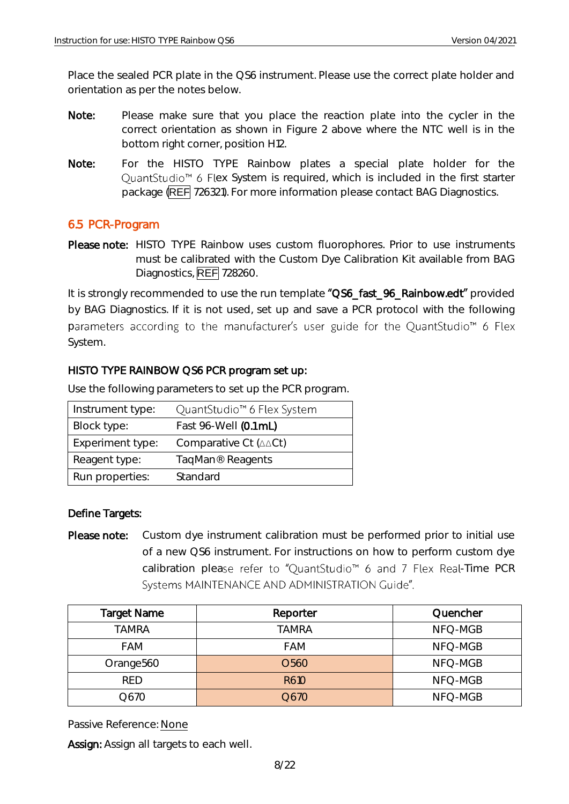Place the sealed PCR plate in the QS6 instrument. Please use the correct plate holder and orientation as per the notes below.

- Note: Please make sure that you place the reaction plate into the cycler in the correct orientation as shown in Figure 2 above where the NTC well is in the bottom right corner, position H12.
- Note: For the HISTO TYPE Rainbow plates a special plate holder for the QuantStudio<sup>™</sup> 6 Flex System is required, which is included in the first starter package (REF 726321). For more information please contact BAG Diagnostics.

#### <span id="page-8-0"></span>6.5 PCR-Program

Please note: HISTO TYPE Rainbow uses custom fluorophores. Prior to use instruments must be calibrated with the Custom Dye Calibration Kit available from BAG Diagnostics, **REF** 728260.

It is strongly recommended to use the run template "QS6\_fast\_96\_Rainbow.edt" provided by BAG Diagnostics. If it is not used, set up and save a PCR protocol with the following parameters according to the manufacturer's user guide for the QuantStudio<sup>™</sup> 6 Flex System.

#### HISTO TYPE RAINBOW QS6 PCR program set up:

| Instrument type: | QuantStudio <sup>™</sup> 6 Flex System    |
|------------------|-------------------------------------------|
| Block type:      | Fast 96-Well (0.1 mL)                     |
| Experiment type: | Comparative Ct $(\triangle \triangle Ct)$ |
| Reagent type:    | TaqMan <sup>®</sup> Reagents              |
| Run properties:  | Standard                                  |

Use the following parameters to set up the PCR program.

#### Define Targets:

Please note: Custom dye instrument calibration must be performed prior to initial use of a new QS6 instrument. For instructions on how to perform custom dye calibration please refer to "QuantStudio™ 6 and 7 Flex Real-Time PCR Systems MAINTENANCE AND ADMINISTRATION Guide".

| <b>Target Name</b>    | Reporter          | Quencher |
|-----------------------|-------------------|----------|
| <b>TAMRA</b>          | TAMRA             | NFQ-MGB  |
| <b>FAM</b>            | <b>FAM</b>        | NFQ-MGB  |
| Orange <sub>560</sub> | O <sub>56</sub> 0 | NFQ-MGB  |
| <b>RED</b>            | R610              | NFQ-MGB  |
| Q670                  | Q670              | NFQ-MGB  |

Passive Reference: None

Assign: Assign all targets to each well.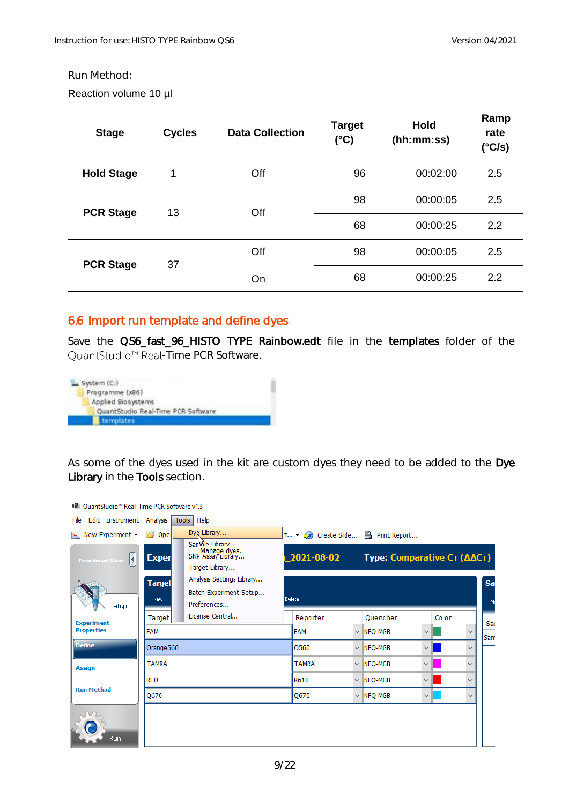#### Run Method:

Reaction volume 10 µl

| <b>Stage</b>      | <b>Cycles</b> | <b>Data Collection</b> | <b>Target</b><br>$(^{\circ}C)$ | <b>Hold</b><br>(hh:mm:ss) | Ramp<br>rate<br>(°C/s) |
|-------------------|---------------|------------------------|--------------------------------|---------------------------|------------------------|
| <b>Hold Stage</b> |               | Off                    | 96                             | 00:02:00                  | 2.5                    |
| <b>PCR Stage</b>  | 13            | Off                    | 98                             | 00:00:05                  | 2.5                    |
|                   |               |                        | 68                             | 00:00:25                  | 2.2                    |
| <b>PCR Stage</b>  | 37            | Off                    | 98                             | 00:00:05                  | 2.5                    |
|                   |               | On                     | 68                             | 00:00:25                  | 2.2                    |

#### <span id="page-9-0"></span>6.6 Import run template and define dyes

Save the QS6\_fast\_96\_HISTO TYPE Rainbow.edt file in the templates folder of the QuantStudio<sup>™</sup> Real-Time PCR Software.



As some of the dyes used in the kit are custom dyes they need to be added to the Dye Library in the Tools section.

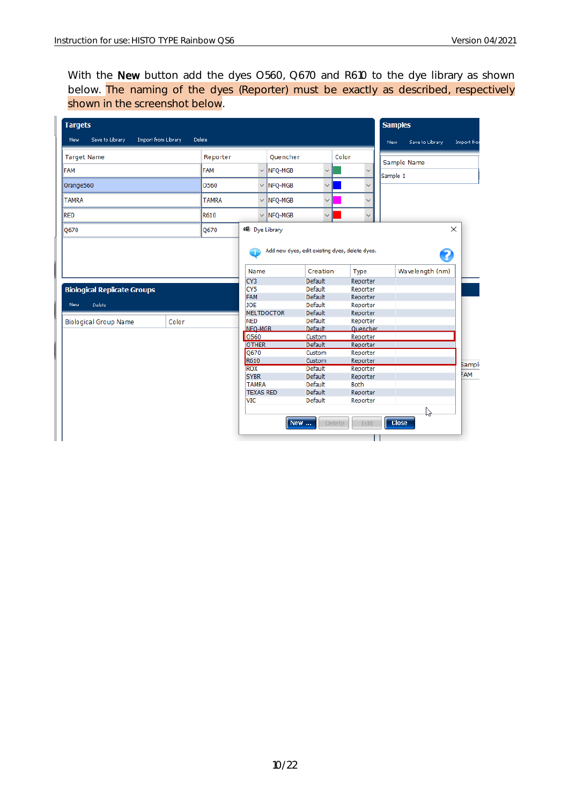With the New button add the dyes O560, Q670 and R610 to the dye library as shown below. The naming of the dyes (Reporter) must be exactly as described, respectively shown in the screenshot below.

<span id="page-10-0"></span>

| <b>Targets</b>                     |                               |              |                                 |          |                           |                                                | <b>Samples</b>    |                 |               |
|------------------------------------|-------------------------------|--------------|---------------------------------|----------|---------------------------|------------------------------------------------|-------------------|-----------------|---------------|
| Save to Library<br>New             | Import from Library<br>Delete |              |                                 |          |                           |                                                | New               | Save to Library | Import from   |
| <b>Target Name</b>                 |                               | Reporter     |                                 | Ouencher |                           | Color                                          |                   | Sample Name     |               |
| FAM                                |                               | FAM          | $\checkmark$                    | NFO-MGB  | $\checkmark$              | $\checkmark$                                   | Sample 1          |                 |               |
| Orange560                          |                               | 0560         | $\checkmark$                    | NFQ-MGB  | $\checkmark$              | $\checkmark$                                   |                   |                 |               |
| <b>TAMRA</b>                       |                               | <b>TAMRA</b> | $\checkmark$                    | NFQ-MGB  | $\checkmark$              | $\checkmark$                                   |                   |                 |               |
| <b>RED</b>                         |                               | R610         | $\checkmark$                    | NFQ-MGB  | $\checkmark$              | $\checkmark$                                   |                   |                 |               |
| Q670                               |                               | Q670         | 48 Dye Library                  |          |                           |                                                |                   |                 | $\times$      |
|                                    |                               |              |                                 |          |                           | Add new dyes, edit existing dyes, delete dyes. |                   | 2               |               |
|                                    |                               |              | Name                            |          | Creation                  | Type                                           |                   | Wavelength (nm) |               |
|                                    |                               |              | CY <sub>3</sub>                 |          | Default                   | Reporter                                       |                   |                 |               |
| <b>Biological Replicate Groups</b> |                               |              | CY <sub>5</sub>                 |          | Default                   | Reporter                                       |                   |                 |               |
|                                    |                               |              | <b>FAM</b>                      |          | <b>Default</b>            | Reporter                                       |                   |                 |               |
| <b>Delete</b><br>New               |                               |              | <b>JOE</b>                      |          | Default                   | Reporter                                       |                   |                 |               |
|                                    |                               |              | <b>MELTDOCTOR</b><br><b>NED</b> |          | <b>Default</b><br>Default | Reporter                                       |                   |                 |               |
| <b>Biological Group Name</b>       | Color                         |              | NFO-MGB                         |          | Default                   | Reporter<br><b>Ouencher</b>                    |                   |                 |               |
|                                    |                               |              | 0560                            |          | Custom                    | Reporter                                       |                   |                 |               |
|                                    |                               |              | <b>OTHER</b>                    |          | <b>Default</b>            | Reporter                                       |                   |                 |               |
|                                    |                               |              | Q670                            |          | Custom                    | Reporter                                       |                   |                 |               |
|                                    |                               |              | R610                            |          | Custom                    | Reporter                                       |                   |                 |               |
|                                    |                               |              | <b>ROX</b>                      |          | Default                   | Reporter                                       |                   |                 | <b>Sample</b> |
|                                    |                               |              | <b>SYBR</b>                     |          | Default                   | Reporter                                       |                   |                 | FAM           |
|                                    |                               |              | <b>TAMRA</b>                    |          | Default                   | <b>Both</b>                                    |                   |                 |               |
|                                    |                               |              | <b>TEXAS RED</b>                |          | <b>Default</b>            | Reporter                                       |                   |                 |               |
|                                    |                               |              | VIC                             |          | Default                   | Reporter                                       |                   |                 |               |
|                                    |                               |              |                                 | New      |                           | <b>Delete</b><br>Edit                          | <b>Close</b><br>ı | ぱ               |               |
|                                    |                               |              |                                 |          |                           |                                                |                   |                 |               |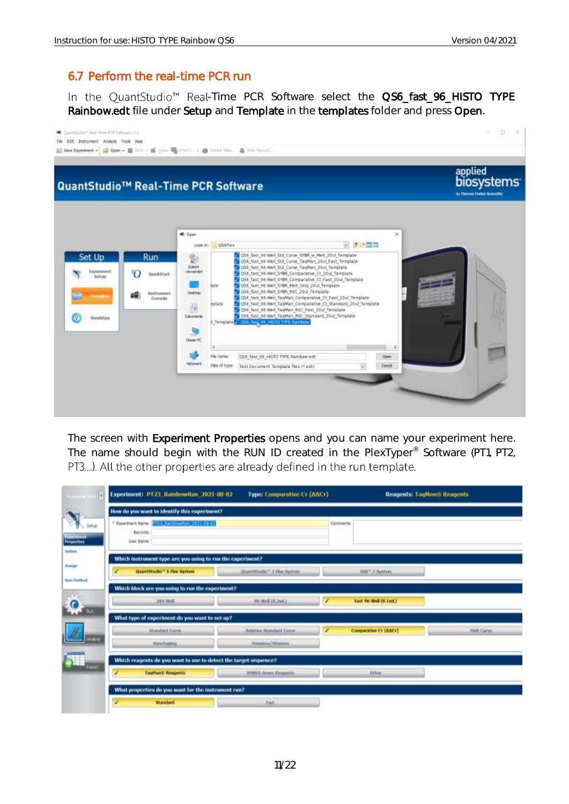## 6.7 Perform the real-time PCR run

In the QuantStudio<sup>™</sup> Real-Time PCR Software select the QS6\_fast\_96\_HISTO TYPE Rainbow.edt file under Setup and Template in the templates folder and press Open.



The screen with Experiment Properties opens and you can name your experiment here. The name should begin with the RUN ID created in the PlexTyper® Software (PT1, PT2, PT3....). All the other properties are already defined in the run template.

| 14                                     | Experiment: PT23 RainbowRun 2021-08-02                                   | <b>Type: Comparative Cr (AACr)</b>     |           |                       | <b>Reagents: LagMango Reagents</b> |
|----------------------------------------|--------------------------------------------------------------------------|----------------------------------------|-----------|-----------------------|------------------------------------|
|                                        | How do you want to identify this experiment?                             |                                        |           |                       |                                    |
| Setup<br><b>SOUTHERN</b><br>Properties | * Experiment Name: 1933 Remitrowhum 2021-00-83<br>Barceder<br>User Name: |                                        | Comments: |                       |                                    |
| Uufboo                                 | Which instrument type are you using to run the experiment?               |                                        |           |                       |                                    |
| Aestatt                                | Quantistudio* 6 Fex System<br>v                                          | Quatribudie <sup>-</sup> 7. Fox System |           | WATE Z Spotzer        |                                    |
| <b>Ban Hetfest</b>                     | Which block are you using to run the experiment?                         |                                        |           |                       |                                    |
| ര                                      | 30 K Well                                                                | 556-5648.00-2mL).                      | ۷         | fast 96 Well (0.1mL)  |                                    |
| <b>Burt</b>                            | What type of experiment do you want to set up?                           |                                        |           |                       |                                    |
|                                        | Standard Curve                                                           | <b>Relative Standard Curan</b>         |           | Comparative Cr (AACr) | <b>Helt Conne</b>                  |
| Analizm                                | <b>Genutyping</b>                                                        | Pressurant/Africanta.                  |           |                       |                                    |
|                                        | Which reagents do you want to use to detect the target sequence?         |                                        |           |                       |                                    |
| Export                                 | TagHand) Haugents<br>7                                                   | SYMUS Green Busquirity.                |           | cities.               |                                    |
|                                        | What properties do you want for the instrument run?                      |                                        |           |                       |                                    |
|                                        | Standard<br>z                                                            | Javi.                                  |           |                       |                                    |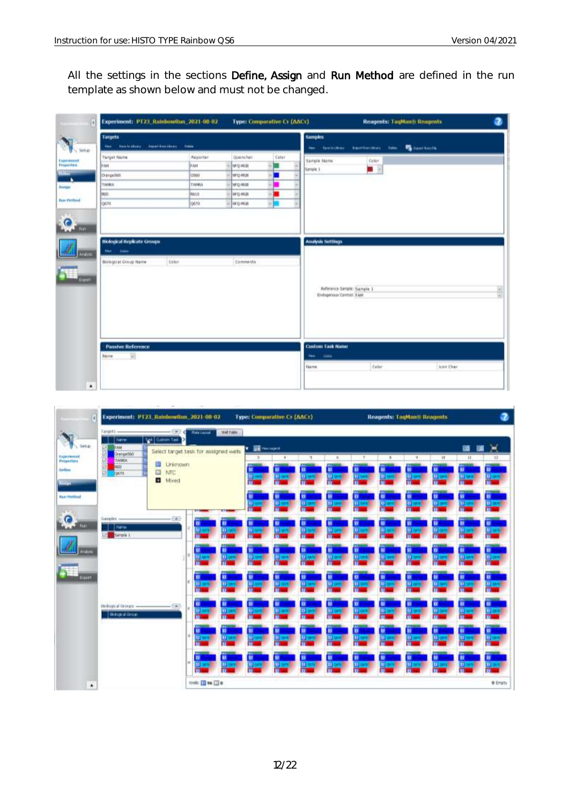L.

All the settings in the sections Define, Assign and Run Method are defined in the run template as shown below and must not be changed.

|                                                                                            | Experiment: PT23 RainbowRun 2021-08-02                  |                                                                                                 | <b>Type: Comparative C1 (AACr)</b>        |                                      |                            | Reagents: TagMan® Reagents    |
|--------------------------------------------------------------------------------------------|---------------------------------------------------------|-------------------------------------------------------------------------------------------------|-------------------------------------------|--------------------------------------|----------------------------|-------------------------------|
| <b>Targets</b><br><b>Republikees</b><br><b>Finder</b>                                      | <b>Ingel Box Lives</b><br><b>Tieste</b>                 |                                                                                                 |                                           | <b>Samples</b><br>the Territ Lives   |                            | busting-they two the bustings |
| <b>Target Name</b><br><b>VAH</b><br>Orangedelt<br><b>TARBLA</b><br><b>VILLO</b><br>osm     | Réporter<br>FAIL<br>0560<br><b>TANKA</b><br>min<br>0670 | Quencher<br>Ivrovin<br><b>NFQ-MUE</b><br><b>JPQ-MGB</b><br><b>Jarg-Mon</b><br><b>Jarq-Mills</b> | Calur<br>۰<br><b>COLOR</b><br>۸<br>٠<br>E | Sample Name<br>Sangle 1              | Color<br>로 된               |                               |
| <b>Biological Replicate Groups</b><br><b>Colde</b><br>Hen.<br><b>Blokegical Group Name</b> | Caler-                                                  | <b>Commeths</b>                                                                                 |                                           | <b>Analysis Settings</b>             | Reference Sample: Sample 1 |                               |
|                                                                                            |                                                         |                                                                                                 |                                           | Enlogenous Central: FAM              |                            |                               |
|                                                                                            |                                                         |                                                                                                 |                                           |                                      |                            |                               |
| <b>Passive Reference</b><br><b>None</b>                                                    |                                                         |                                                                                                 |                                           | <b>Custom Task Name</b><br>The Color |                            |                               |

| и                                                                        | Experiment: P123_Rainbowiton_2021-08-02                    |                                                                                                   |                                   |             | <b>Type: Comparative Cr (AAC)</b>                           |        |                       |                                                                                   |   |                        | Reagents: LauMan® Reagents           |                                                                                         |                            | 3                                                   |
|--------------------------------------------------------------------------|------------------------------------------------------------|---------------------------------------------------------------------------------------------------|-----------------------------------|-------------|-------------------------------------------------------------|--------|-----------------------|-----------------------------------------------------------------------------------|---|------------------------|--------------------------------------|-----------------------------------------------------------------------------------------|----------------------------|-----------------------------------------------------|
| Setup                                                                    | Targets -<br><b>Eliate</b><br><b>FAH</b>                   | $-1100$<br>Tel Caton Tall                                                                         | <b>Rate Leyrol</b>                | Well Fakler | <b>EX</b> West Lagrest<br>ı.                                |        |                       |                                                                                   |   |                        |                                      |                                                                                         | 讀<br>匱                     | Χ                                                   |
| <b>Luporance</b><br>Properties<br>Gefeve<br>Austral<br><b>Ban Hethod</b> | 图图图图图<br>Oranged 00<br><b>TANKA</b><br><b>HED</b><br>losts | Salect target task for assigned wells<br><b>III</b> Linkinown<br><b>III</b> NTC<br><b>D</b> Mixed |                                   |             | 18<br>٠<br>$\frac{1}{2}$<br>u<br>u<br>п<br>п<br>Đ<br>u<br>u |        | $\sim$<br>ш           | $\overline{\phantom{a}}$<br>×<br>٠<br>u<br>≖<br><b>UL 941</b><br>m<br>D<br>п<br>w |   |                        | 33<br>m<br>m<br>ш                    | $\mathbb{H}$<br>u<br>≖<br><b>ITE</b> me<br><b>BIE</b><br><b>The F</b><br>u<br><b>IV</b> |                            |                                                     |
| $\bullet$<br><b>COL</b>                                                  | Samples -<br><b>I</b> Farm<br><b>Editional Editor</b>      | $-143$                                                                                            | ≖                                 | u<br>п      | п<br><b>ILL CA</b>                                          | w<br>w | <b>Thua</b><br>n<br>ш | ш                                                                                 |   | <b>U</b> i on<br>11.03 | σ<br>π<br>σ                          | π<br>п<br>п                                                                             | <b>III</b> on<br>ы         | ₩<br>۰<br><b>DI OV</b><br>۰                         |
| <b>Arabin</b><br><b>Export</b>                                           |                                                            |                                                                                                   | 11.00<br>п<br>$\overline{m}$<br>n | п<br>Ħ<br>m | u<br>ш                                                      | ш      | u<br><b>CIT2</b> 100  | в<br>ш                                                                            | ш | m                      | U.<br>ш                              | п<br>ū.                                                                                 | в<br><b>U</b> <sub>O</sub> | <b>III</b> and<br>в<br><b>III</b> and               |
|                                                                          | Blokegouil Eirolups -<br><b>Biological Croup</b>           | $-500$                                                                                            | п<br>u.<br>п<br>ш٥                | u<br>m<br>ш | u<br>D.                                                     | w<br>π | n<br>ш<br>n           | ш<br>t)                                                                           | ш | 11, 08                 | π<br><b>U</b> <sub>C</sub><br>п<br>o | w<br>mο                                                                                 | Ħ<br><b>CEO</b><br>u<br>田市 | ≖<br><b>Work</b><br>$\blacksquare$<br>m<br>ill over |
| ٠                                                                        |                                                            |                                                                                                   | п<br>n<br>Well: 11 96 13 0        | п<br>ш      | ш                                                           | в<br>u | u<br>n                | п<br>п                                                                            | Ð | <b>W</b>               | <b>B</b><br>u                        | D.<br>ш                                                                                 | <b>STATE</b><br>в<br>п     | D<br>뜪<br><b>O</b> Engty                            |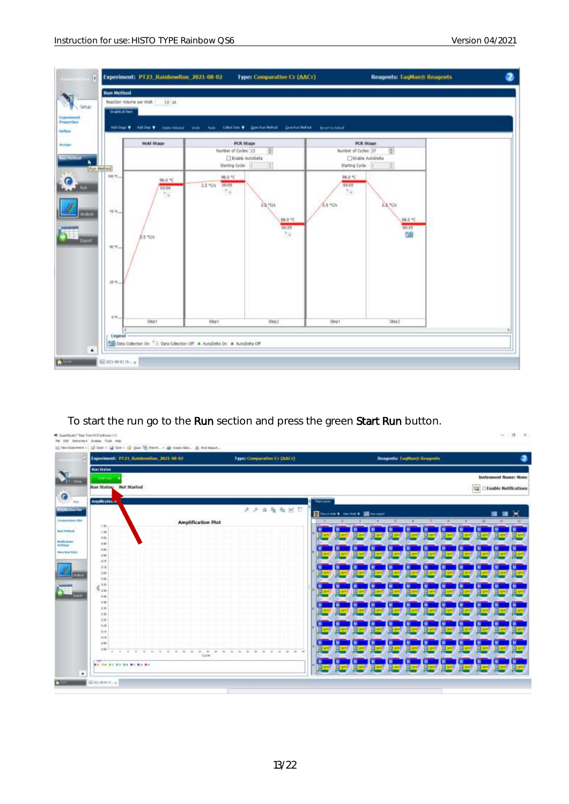

To start the run go to the Run section and press the green Start Run button.

| Experiment: FT23 Ratebowiton, 2021-08-02.                                                     | Type: Comparative Cr (AACr)             |                 |   |                                | <b>Beagents: Leptung Reagents</b> |   |                        |                     |                                   |
|-----------------------------------------------------------------------------------------------|-----------------------------------------|-----------------|---|--------------------------------|-----------------------------------|---|------------------------|---------------------|-----------------------------------|
| <b>BarcStatus</b><br><b>STEART ALA</b>                                                        |                                         |                 |   |                                |                                   |   |                        |                     | <b>Instrument Name: None</b>      |
| Run Status: Not Started                                                                       |                                         |                 |   |                                |                                   |   |                        |                     | <b>Exable Notifications</b><br>粵  |
| <b>Amplications</b>                                                                           |                                         | <b>Rational</b> |   |                                |                                   |   |                        |                     |                                   |
|                                                                                               | 光光连接激发区                                 |                 |   |                                |                                   |   |                        |                     |                                   |
| <b>Amplification Plot</b>                                                                     |                                         |                 |   | <b>Donated Served To-serve</b> |                                   |   |                        |                     | 雷<br>m                            |
| $+ 10$<br>1.16                                                                                |                                         |                 |   |                                |                                   |   |                        |                     |                                   |
| $+10$<br>216                                                                                  |                                         |                 | ш | н                              |                                   |   |                        |                     |                                   |
| 38                                                                                            |                                         |                 | н |                                |                                   |   |                        |                     |                                   |
| 3.88<br>376                                                                                   |                                         |                 |   | ш                              |                                   |   |                        |                     |                                   |
| 378                                                                                           |                                         |                 | ш | ω                              |                                   | m | ш<br>EЭ                | 帀                   | 回<br><b><i>GT CAME</i></b>        |
| $+10$<br>2.88                                                                                 |                                         |                 |   |                                |                                   |   |                        |                     |                                   |
| 4.928<br>9.10                                                                                 |                                         |                 |   |                                |                                   |   |                        |                     |                                   |
| 240<br>240                                                                                    |                                         |                 |   |                                |                                   |   |                        |                     |                                   |
| 2.16                                                                                          |                                         |                 |   |                                |                                   |   | ш                      |                     |                                   |
| 18<br>4.8                                                                                     |                                         |                 |   |                                |                                   |   |                        |                     |                                   |
| $+10$                                                                                         |                                         |                 |   |                                |                                   |   |                        |                     |                                   |
| 70.16<br>78.18                                                                                |                                         |                 |   |                                |                                   |   |                        |                     |                                   |
| 18.88<br>38                                                                                   |                                         |                 | m | m                              |                                   | m | m<br><b>City model</b> | <b>CE SHARE</b>     | <b>Director</b><br><b>ED card</b> |
| ÷<br>$\sim$<br><b>ALL</b><br>$\sim$<br>÷<br>w<br><b>SE</b><br>$\rightarrow$<br><b>Digitie</b> | $\frac{1}{2}$<br>14<br>÷<br>÷<br>$\sim$ |                 |   |                                |                                   |   |                        |                     |                                   |
| 1944<br>MA NH NH WI NH NH NH NH                                                               |                                         | Lij orw.        | ◫ | m                              |                                   | ш | 亚<br>Gwi               | ₩<br><b>CD only</b> | <b>DICTS</b><br><b>Lillen</b>     |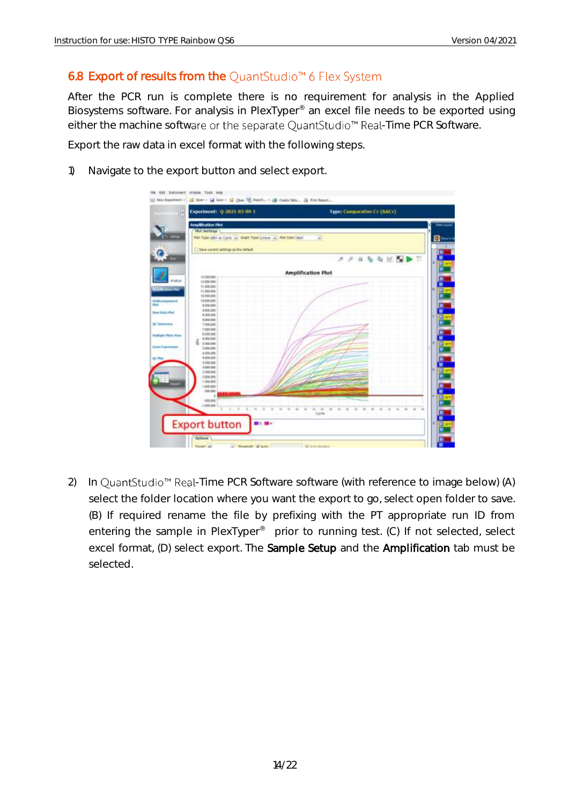## <span id="page-14-0"></span>6.8 Export of results from the QuantStudio<sup>™</sup> 6 Flex System

After the PCR run is complete there is no requirement for analysis in the Applied Biosystems software. For analysis in PlexTyper<sup>®</sup> an excel file needs to be exported using either the machine software or the separate QuantStudio<sup>™</sup> Real-Time PCR Software.

Export the raw data in excel format with the following steps.

1) Navigate to the export button and select export.

| Experiment: Q-2021-03-09-1                                 | <b>Type: Comparative Cr (AACr)</b> |
|------------------------------------------------------------|------------------------------------|
| <b>Amplification Plot</b>                                  |                                    |
| <b>Phot Settlings</b>                                      |                                    |
| PARTISHIGHT WITCHES (A) DOER THREE PARTIES (A) PHECHECOVER |                                    |
|                                                            | $\blacksquare$                     |
|                                                            |                                    |
| Save current antings as the default                        |                                    |
|                                                            | 动<br>K.<br>Ħ<br>RP.<br>$P$ $P$     |
|                                                            |                                    |
| 16 15.                                                     | <b>Amplification Plot</b>          |
| Y3 900 000                                                 |                                    |
| 12.009.000                                                 |                                    |
| 11.008.000                                                 |                                    |
| 11,560,000                                                 |                                    |
| 19,598,000                                                 |                                    |
| 10.005266<br>A 500,000                                     |                                    |
| 8.009.000                                                  |                                    |
| 8,509,000                                                  |                                    |
| 120320                                                     |                                    |
| 7,590,000                                                  |                                    |
| 7,001,000                                                  |                                    |
| 6,508,000                                                  |                                    |
| 1.000,000                                                  |                                    |
| ŝ.<br>1,300,000                                            |                                    |
| 1,200,000                                                  |                                    |
| 4.509.008                                                  |                                    |
| 4.008.008                                                  |                                    |
| 150100                                                     |                                    |
| 120100-010<br>100,000                                      |                                    |
| 1006000                                                    |                                    |
| 1,000,000                                                  |                                    |
| 1,000,000                                                  |                                    |
| 103,003                                                    |                                    |
| ٠                                                          |                                    |
| 800,000                                                    |                                    |
| 1,000,000                                                  |                                    |
| <b>TIME</b>                                                | Gym                                |
|                                                            |                                    |
| <b>Export button</b><br>目に                                 |                                    |
|                                                            |                                    |
|                                                            |                                    |

2) In QuantStudio<sup>™</sup> Real-Time PCR Software software (with reference to image below) (A) select the folder location where you want the export to go, select open folder to save. (B) If required rename the file by prefixing with the PT appropriate run ID from entering the sample in PlexTyper<sup>®</sup> prior to running test. (C) If not selected, select excel format, (D) select export. The **Sample Setup** and the **Amplification** tab must be selected.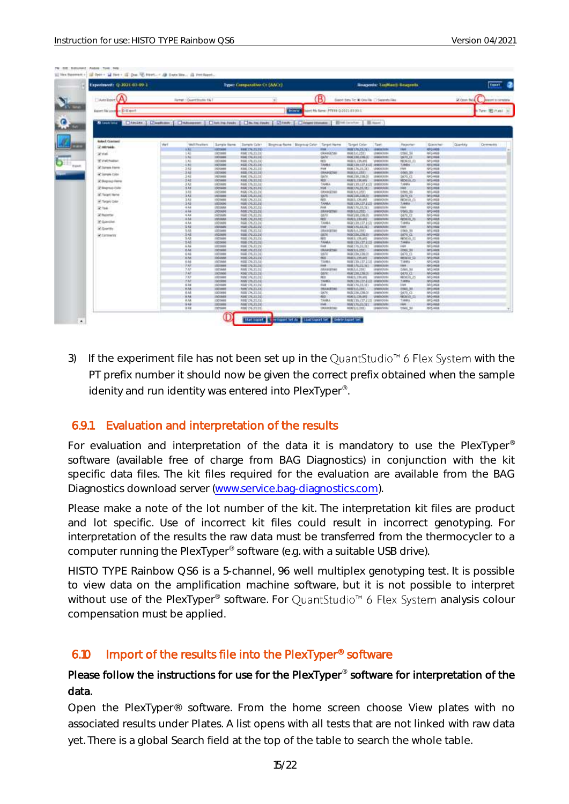TK: EIT: Structure Andrei, Text, 1996

| Experiment: Q 3021 01:09 1              |      |                          |                                   | Type: Comparative Cr (ANCr)          |                                          |                                    |                                                          |                           | Rosperds: TauManii Sovgents      |                              |                 |               |
|-----------------------------------------|------|--------------------------|-----------------------------------|--------------------------------------|------------------------------------------|------------------------------------|----------------------------------------------------------|---------------------------|----------------------------------|------------------------------|-----------------|---------------|
| <b>DANGER A</b>                         |      | Farmer : Quantitude: 167 |                                   |                                      |                                          | B)                                 | Geot bes To: N Ore Re [3 Separate Reg.]                  |                           |                                  |                              | (A) Corem fresh |               |
| <b>Basert Ale Louis C &amp; B Hotel</b> |      |                          |                                   |                                      | <b>Downs</b>                             | lent Hy Sand: PTEEE 0-2021-89-99-1 |                                                          |                           |                                  |                              |                 | Tire: 20 mini |
|                                         |      |                          |                                   |                                      |                                          |                                    |                                                          |                           |                                  |                              |                 |               |
| <b>Balled Coachaed</b>                  |      |                          |                                   |                                      |                                          |                                    |                                                          |                           |                                  |                              |                 |               |
| 17. A& Finish                           | Well | Well Peartner            | Sangle Nemi-                      | <b>Bergie (zie)</b>                  | Bagnia: Natal Bioming-Color Target Natal |                                    | <b>Target Color</b>                                      | Task                      | Reporter                         | Glenchat                     | <b>Quantity</b> | Centreacting  |
|                                         |      | li Ali                   | 1070400                           | 000126.21.311                        |                                          |                                    | 1000176,25,317                                           | <b>JEWELT VICH</b>        | <b>TMF</b>                       | 09108                        |                 |               |
| Write:                                  |      | 1.40<br>5 Mi             | <b>Lichele</b><br><b>EXCHANGE</b> | 658(176,23.3)<br>H10(170, 21.31)     |                                          | <b>GRANGETER</b><br><b>GAIN</b>    | 8083.0.2553<br>WORLDOM, CORA (C)                         | (NECKER<br>18060201       | 1001, 51<br>00/0,01              | 612-4428<br><b>M2HIE</b>     |                 |               |
| 37 You Paston                           |      | 3 A/L                    | 1033000                           | 0681762331                           |                                          | ings)                              | TODOLE, L'ON, AVR 1.                                     | <b>UNION STATE</b>        | <b>HOGHLID</b>                   | 5204505                      |                 |               |
|                                         |      | 5,45                     | 1920/09/0                         | RS8(176,23;31)                       |                                          | <b>TAMILE</b>                      | RGM139.137,1121 10900319                                 |                           | <b>SAMIN</b>                     | 592462                       |                 |               |
| at Jures Here                           |      | 立山                       | I KIGHARA                         | 000120-21-31                         |                                          | 7488                               | 808126,23.315                                            | LEGIORIZZA                | 1506                             | 9/2/998                      |                 |               |
| at Janeiro Color                        |      | 330<br>242               | 1101600<br>Hotside                | 66817623.31<br>R68176,23.31          |                                          | DEANGESCH<br><b>DATA</b>           | <b>RGM 3.6, 2551</b><br>RGML23WL33WL00                   | <b>ABOK DUA</b><br>UNKNOW | 0005.56<br>DKPS_CL               | NFD-KKGB<br>652468           |                 |               |
| <b>JC Bagroup Forms</b>                 |      | 232                      | 1525608                           | KUKLI/6/2021                         |                                          | NBC                                | <b>ROBERLISCARY</b>                                      | 10000008                  | MOGIL-12                         | 972408                       |                 |               |
|                                         |      | 3 Kit                    | 11014900                          | 668(176,211,31)                      |                                          | <b>SAMA</b>                        | ROBELYN, LTD, LTD, UNIMOUN-                              |                           | TAANA                            | 65168                        |                 |               |
| of Bingmap Color                        |      | 3 As                     | 1920400                           | <b>RIACL76.23.31</b>                 |                                          | <b>MAC</b>                         | <b>RUBEI/MLSELSEY</b>                                    | 180000                    | ME :                             | 912-908                      |                 |               |
| at Tarant Harver                        |      | 343<br>3 A J             | 1920000<br>1,922,000              | 668(176.23.31)<br><b>BAALDIGUUSE</b> |                                          | DIMODIA<br>GA76                    | RGB15, 6,2531<br>AGAC 21201, 3.165, 021                  | MINUM<br>uescon           | 1966.50<br>0010.01               | 6124428<br>WOMA              |                 |               |
|                                         |      | 3 <sub>14</sub>          | 1325688                           | RDA(176,23,31)                       |                                          | App.                               | RGBES, LS6.4H1.                                          | UNIVOUR                   | <b>NOULS</b> CD                  | M-2-HOE                      |                 |               |
| all Target Color                        |      | 348                      | 1925009                           | HALLYS 2LTL                          |                                          | SANIA                              | AGE EXCLUSIVELY DRIVINAL                                 |                           | <b>TAMIN</b>                     | NGHA                         |                 |               |
| of tak                                  |      | $4 - 3.4$                | LISSANA                           | MA(176, 31.1)                        |                                          | 0.488                              | <b>ASACLIN, 21, 21.</b>                                  | 100012199                 | 4 844                            | 012-904                      |                 |               |
| at hazerter                             |      | 5 44<br>4A4              | 1820400<br>1922099                | N00(176,23.31)<br>HALL/6.21.21       |                                          | ORANGETINI<br>GA/AV                | AGN 0.0.2551<br>MAK230,336.00                            | аверия<br>UNKNOWN         | 0565,95<br><b>Dalft</b> Ct       | MOMO<br><b>MG-MGE</b>        |                 |               |
|                                         |      | 8 8 4                    | <b>LISTANA</b>                    | <b>NIMEL'NE2KLYLE</b>                |                                          | men:                               | AUNEL 239.691                                            | HINDING                   | <b>REDGIS-CO</b>                 | SPOARIA                      |                 |               |
| <b>an Guerche</b>                       |      | 4 AA                     | 17/204/08                         | 060(176.23.3)                        |                                          | TAMA                               | AGR(130.137, 113) / (#9000.6%)                           |                           | TANKA                            | 650-4628                     |                 |               |
| 30 Doamste                              |      | 5 Ali                    | <b>TRAINING</b>                   | HARLENGALITE                         |                                          | <b>HAF</b>                         | MACUSALITY                                               | SPAINOMAL                 | <b>TIGA!</b>                     | <b>MG468</b>                 |                 |               |
|                                         |      | 148<br>546               | 1003466                           | 00017633.11                          |                                          | <b>ISAN/ETRI</b>                   | AUA/5.6,2193                                             | statistical.              | 0300,39                          | AFC HILE                     |                 |               |
| Witnessehr                              |      | 3A3                      | 1920609<br>1923688                | 19817633.21<br>108126-23.33          |                                          | 0670<br><b>REGIS</b>               | RGROOM, 1746, 61<br><b>MAR 2, 178, Art 1</b>             | 10001058<br>189/8/2010    | <b>SEN 11</b><br><b>ROGIA</b> IS | 1024102<br><b>UC-HIS</b>     |                 |               |
|                                         |      | 548                      | 1003008                           | HORLIN, 23, 31                       |                                          | TANK                               | <b><i>MALDROPLED</i></b>                                 | <b>CRAINER</b>            | 734606                           | MONDE                        |                 |               |
|                                         |      | 6.46                     | 10220908                          | 19812620.01                          |                                          | tiest.                             | WAND 2012 22:21                                          | 10000/020                 | can.                             | <b>SIG-FILE</b>              |                 |               |
|                                         |      | 8.88                     | 1920008                           | R8812623.33                          |                                          | USANGESA                           | 1002313331                                               | 10003003                  | 2860,98                          | 105103                       |                 |               |
|                                         |      | 6.66<br><b>EM</b>        | 102008<br>Elsistene               | 16.17.21.31<br>H60(126,2312)         |                                          | <b>GEN</b><br>eer.                 | BIRD06,136.00<br><b>BUILD 199.641</b>                    | UNIVERSITY<br>100100101   | 901 CL<br><b>BRILLE</b>          | <b>WENGE</b><br><b>MORGE</b> |                 |               |
|                                         |      |                          | 1923466                           | 400126.23.31                         |                                          | 13884                              | ROBELOR/LTP/LT/LE_UNIMOVIN                               |                           | TIAMA                            | USHO                         |                 |               |
|                                         |      | 蒜                        | 1920008                           | HARLEN/21/21                         |                                          | 1448                               | <b>BURE EVELYETE TEST</b>                                | <b>UNIVERSITY</b>         | tor:                             | <b>GONU</b>                  |                 |               |
|                                         |      | 7M                       | 1021444                           | 668(176,21.31)                       |                                          | <b>MANUF160</b>                    | <b>MBLL4.2310</b>                                        | id wind AVA               | CARA AU                          | <b>VG HIS</b>                |                 |               |
|                                         |      | 3W                       | 1920408                           | 1000170.23.31                        |                                          | <b>bone</b><br>mit                 | R681281336.00                                            | UNIVOUS                   | 0670.CL                          | MGMGE                        |                 |               |
|                                         |      | <b>YA!</b><br>247        | <b>ITASHIE</b><br>1935000         | <b>MAGIN 21.31</b><br>MAILMOUTH      |                                          | TAABIL                             | <b>RUBER, 1 39, APT</b><br>T45N170-177-1123 - UNIVERSITY | sherious                  | MODE CO<br>TAHRA                 | MORGE<br><b>MOINES</b>       |                 |               |
|                                         |      | 5.48                     | <b>ISOSME</b>                     | K68176.22.21                         |                                          | 444                                | R080176.73.313                                           | cated across              | Light.                           | M-5-Mild                     |                 |               |
|                                         |      | KM                       | 1022440                           | <b>MARCUTALITECTI</b>                |                                          | <b>INSURGETIME</b>                 | <b>MANUFACTURE</b>                                       | <b>INVENTION</b>          | 090,30                           | <b>IPO MIA</b>               |                 |               |
|                                         |      | 6.46                     | 19204408                          | MA176.21.11                          |                                          | \$650                              | <b>BGE200, (36.0)</b>                                    | control sink              | <b>DUTA:</b>                     | MONGE                        |                 |               |
|                                         |      | 8.58<br>6.58             | <b>J'MS08008</b><br>1000408       | KWATI NG 2013 E<br>RUNG 19, 21, 12   |                                          | 492<br>TANAL                       | ASKES: ES6.641<br>REBELTO, CO7, LLTI. GRANDOUAL          | <b>UNIVERSITY</b>         | <b>KEDITA ID</b><br>TANKA        | MÓRIA<br>912-915             |                 |               |
|                                         |      | 9.68                     | <b>TRIOMAS</b>                    | MAD17623.31                          |                                          | <b>ISBND</b>                       | MADAGED 1                                                | Listens(NAM)              | Firs.                            | <b>MG-NIA</b>                |                 |               |
|                                         |      | ir Any                   | <b>ISTORIE</b>                    | RDIG 176.23.21                       |                                          | DOUGLAIM                           | <b>AGN/A.D.TXIO</b>                                      | 19 BOX 0004               | DMI 3/                           | D'O-HIA                      |                 |               |

3) If the experiment file has not been set up in the QuantStudio<sup> $M$ </sup> 6 Flex System with the PT prefix number it should now be given the correct prefix obtained when the sample idenity and run identity was entered into PlexTyper<sup>®</sup>. .

#### <span id="page-15-0"></span>6.9.1 Evaluation and interpretation of the results

For evaluation and interpretation of the data it is mandatory to use the PlexTyper<sup>®</sup> software (available free of charge from BAG Diagnostics) in conjunction with the kit specific data files. The kit files required for the evaluation are available from the BAG Diagnostics download server [\(www.service.bag-diagnostics.com\)](http://www.service.bag-diagnostics.com/).

Please make a note of the lot number of the kit. The interpretation kit files are product and lot specific. Use of incorrect kit files could result in incorrect genotyping. For interpretation of the results the raw data must be transferred from the thermocycler to a computer running the PlexTyper<sup>®</sup> software (e.g. with a suitable USB drive).

HISTO TYPE Rainbow QS6 is a 5-channel, 96 well multiplex genotyping test. It is possible to view data on the amplification machine software, but it is not possible to interpret without use of the PlexTyper® software. For QuantStudio<sup>™</sup> 6 Flex System analysis colour compensation must be applied.

#### <span id="page-15-1"></span>6.10 Import of the results file into the PlexTyper® software

#### Please follow the instructions for use for the PlexTyper<sup>®</sup> software for interpretation of the data.

Open the PlexTyper® software. From the home screen choose View plates with no associated results under Plates. A list opens with all tests that are not linked with raw data yet. There is a global Search field at the top of the table to search the whole table.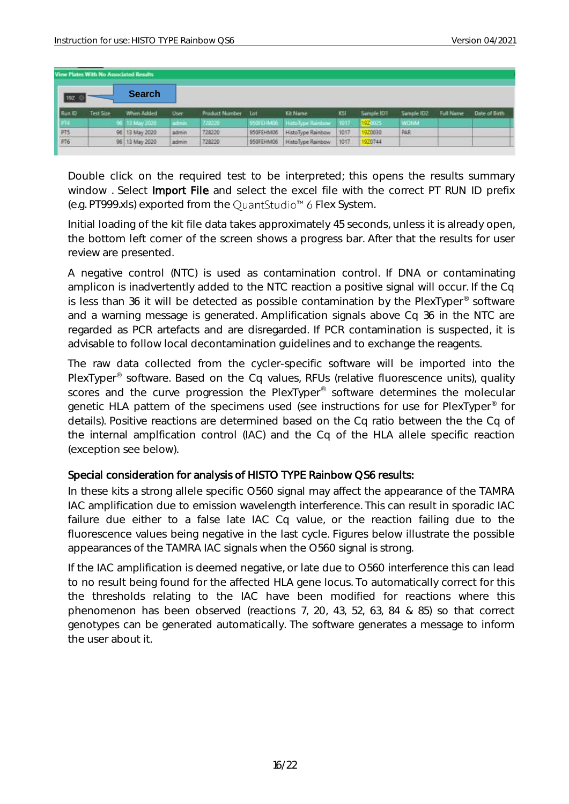|            | View Plates With No Associated Results |                |       |                       |           |                   |       |            |             |                  |               |
|------------|----------------------------------------|----------------|-------|-----------------------|-----------|-------------------|-------|------------|-------------|------------------|---------------|
| 19Z K      |                                        | <b>Search</b>  |       |                       |           |                   |       |            |             |                  |               |
| Flum ID    | Test Size                              | When Added     | User. | <b>Product Number</b> | Lot       | <b>Kit Name</b>   | KSI   | Sample IDT | Sample ID2  | <b>Full Name</b> | Date of Birth |
| FM.        |                                        | 96 13 May 2020 | admin | 728230                | 950FEHM06 | HittoType Rainbow | -1017 | 192005     | <b>WONA</b> |                  |               |
| PT5<br>PT6 |                                        | 96 13 May 2020 | admin | 728220                | 950FEHM06 | HistoType Rainbow | 1017  | 920030     | PAR         |                  |               |
|            |                                        | 96 13 May 2020 | admin | 728220                | 950FEHM06 | HistoType Rainbow | 1017  | 920744     |             |                  |               |

Double click on the required test to be interpreted; this opens the results summary window . Select Import File and select the excel file with the correct PT RUN ID prefix (e.g. PT999.xls) exported from the QuantStudio<sup>™</sup> 6 Flex System.

Initial loading of the kit file data takes approximately 45 seconds, unless it is already open, the bottom left corner of the screen shows a progress bar. After that the results for user review are presented.

A negative control (NTC) is used as contamination control. If DNA or contaminating amplicon is inadvertently added to the NTC reaction a positive signal will occur. If the Cq is less than 36 it will be detected as possible contamination by the PlexTyper<sup>®</sup> software and a warning message is generated. Amplification signals above Cq 36 in the NTC are regarded as PCR artefacts and are disregarded. If PCR contamination is suspected, it is advisable to follow local decontamination guidelines and to exchange the reagents.

The raw data collected from the cycler-specific software will be imported into the PlexTyper<sup>®</sup> software. Based on the Cq values, RFUs (relative fluorescence units), quality scores and the curve progression the PlexTyper<sup>®</sup> software determines the molecular genetic HLA pattern of the specimens used (see instructions for use for PlexTyper<sup>®</sup> for details). Positive reactions are determined based on the Cq ratio between the the Cq of the internal amplfication control (IAC) and the Cq of the HLA allele specific reaction (exception see below).

#### Special consideration for analysis of HISTO TYPE Rainbow QS6 results:

In these kits a strong allele specific O560 signal may affect the appearance of the TAMRA IAC amplification due to emission wavelength interference. This can result in sporadic IAC failure due either to a false late IAC Cq value, or the reaction failing due to the fluorescence values being negative in the last cycle. Figures below illustrate the possible appearances of the TAMRA IAC signals when the O560 signal is strong.

If the IAC amplification is deemed negative, or late due to O560 interference this can lead to no result being found for the affected HLA gene locus. To automatically correct for this the thresholds relating to the IAC have been modified for reactions where this phenomenon has been observed (reactions 7, 20, 43, 52, 63, 84 & 85) so that correct genotypes can be generated automatically. The software generates a message to inform the user about it.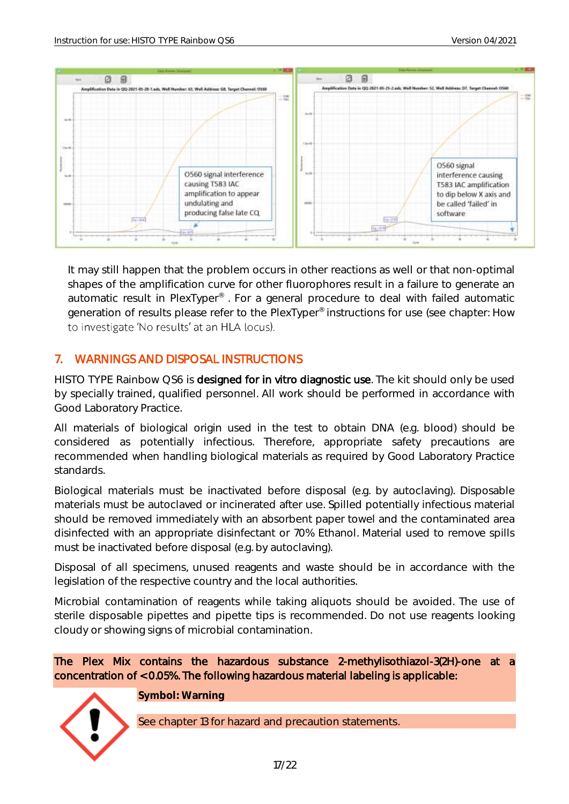

It may still happen that the problem occurs in other reactions as well or that non-optimal shapes of the amplification curve for other fluorophores result in a failure to generate an automatic result in PlexTyper® . For a general procedure to deal with failed automatic generation of results please refer to the PlexTyper® instructions for use (see chapter: How to investigate 'No results' at an HLA locus).

## <span id="page-17-0"></span>7. WARNINGS AND DISPOSAL INSTRUCTIONS

HISTO TYPE Rainbow QS6 is designed for in vitro diagnostic use. The kit should only be used by specially trained, qualified personnel. All work should be performed in accordance with Good Laboratory Practice.

All materials of biological origin used in the test to obtain DNA (e.g. blood) should be considered as potentially infectious. Therefore, appropriate safety precautions are recommended when handling biological materials as required by Good Laboratory Practice standards.

Biological materials must be inactivated before disposal (e.g. by autoclaving). Disposable materials must be autoclaved or incinerated after use. Spilled potentially infectious material should be removed immediately with an absorbent paper towel and the contaminated area disinfected with an appropriate disinfectant or 70% Ethanol. Material used to remove spills must be inactivated before disposal (e.g. by autoclaving).

Disposal of all specimens, unused reagents and waste should be in accordance with the legislation of the respective country and the local authorities.

Microbial contamination of reagents while taking aliquots should be avoided. The use of sterile disposable pipettes and pipette tips is recommended. Do not use reagents looking cloudy or showing signs of microbial contamination.

The Plex Mix contains the hazardous substance 2-methylisothiazol-3(2H)-one at a concentration of < 0.05%. The following hazardous material labeling is applicable:



**Symbol: Warning**

See chapter 13 for hazard and precaution statements.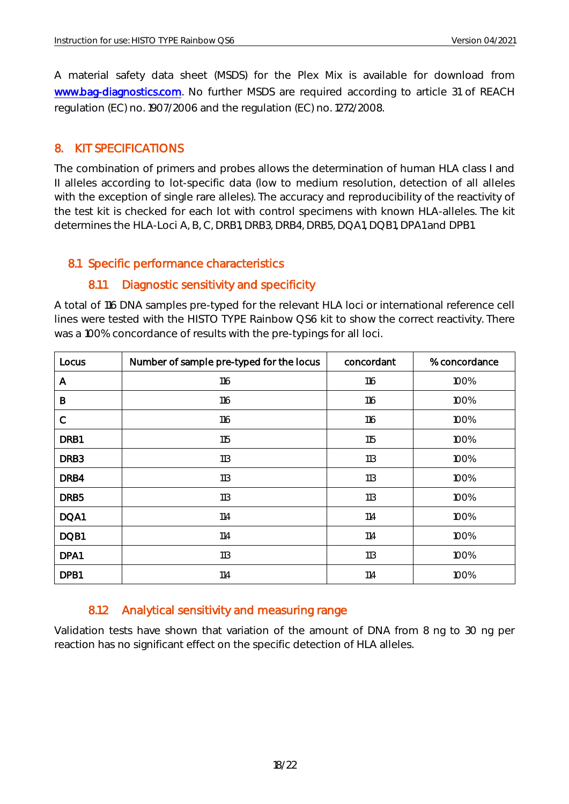A material safety data sheet (MSDS) for the Plex Mix is available for download from [www.bag-diagnostics.com.](http://www.bag-diagnostics.com/) No further MSDS are required according to article 31 of REACH regulation (EC) no. 1907/2006 and the regulation (EC) no. 1272/2008.

### <span id="page-18-0"></span>8. KIT SPECIFICATIONS

The combination of primers and probes allows the determination of human HLA class I and II alleles according to lot-specific data (low to medium resolution, detection of all alleles with the exception of single rare alleles). The accuracy and reproducibility of the reactivity of the test kit is checked for each lot with control specimens with known HLA-alleles. The kit determines the HLA-Loci A, B, C, DRB1, DRB3, DRB4, DRB5, DQA1, DQB1, DPA1 and DPB1.

#### <span id="page-18-1"></span>8.1 Specific performance characteristics

#### 8.1.1 Diagnostic sensitivity and specificity

<span id="page-18-2"></span>A total of 116 DNA samples pre-typed for the relevant HLA loci or international reference cell lines were tested with the HISTO TYPE Rainbow QS6 kit to show the correct reactivity. There was a 100% concordance of results with the pre-typings for all loci.

| Locus            | Number of sample pre-typed for the locus | concordant | % concordance |
|------------------|------------------------------------------|------------|---------------|
| A                | 116                                      | 116        | 100%          |
| B                | 116                                      | 116        | 100%          |
| $\mathsf C$      | 116                                      | 116        | 100%          |
| DRB1             | 115                                      | 115        | 100%          |
| DRB <sub>3</sub> | 113                                      | 113        | 100%          |
| DRB4             | 113                                      | 113        | 100%          |
| DRB <sub>5</sub> | 113                                      | 113        | 100%          |
| DQA1             | 114                                      | 114        | 100%          |
| DQB1             | 114                                      | 114        | 100%          |
| DPA1             | 113                                      | 113        | 100%          |
| DPB1             | 114                                      | 114        | 100%          |

## <span id="page-18-3"></span>8.1.2 Analytical sensitivity and measuring range

Validation tests have shown that variation of the amount of DNA from 8 ng to 30 ng per reaction has no significant effect on the specific detection of HLA alleles.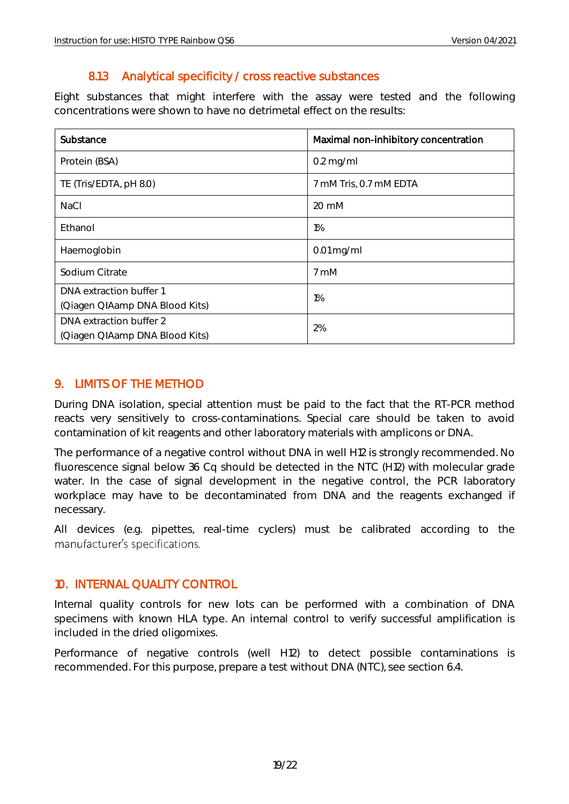## 8.1.3 Analytical specificity / cross reactive substances

<span id="page-19-0"></span>Eight substances that might interfere with the assay were tested and the following concentrations were shown to have no detrimetal effect on the results:

| Substance                      | Maximal non-inhibitory concentration |
|--------------------------------|--------------------------------------|
| Protein (BSA)                  | $0.2$ mg/ml                          |
| TE (Tris/EDTA, pH 8.0)         | 7 mM Tris, 0.7 mM EDTA               |
| NaCl                           | 20 mM                                |
| Ethanol                        | $1\%$                                |
| Haemoglobin                    | $0.01$ mg/ml                         |
| Sodium Citrate                 | 7 mM                                 |
| DNA extraction buffer 1        | $1\%$                                |
| (Qiagen QIAamp DNA Blood Kits) |                                      |
| DNA extraction buffer 2        | 2%                                   |
| (Qiagen QIAamp DNA Blood Kits) |                                      |

## <span id="page-19-1"></span>9. LIMITS OF THE METHOD

During DNA isolation, special attention must be paid to the fact that the RT-PCR method reacts very sensitively to cross-contaminations. Special care should be taken to avoid contamination of kit reagents and other laboratory materials with amplicons or DNA.

The performance of a negative control without DNA in well H12 is strongly recommended. No fluorescence signal below 36 Cq should be detected in the NTC (H12) with molecular grade water. In the case of signal development in the negative control, the PCR laboratory workplace may have to be decontaminated from DNA and the reagents exchanged if necessary.

All devices (e.g. pipettes, real-time cyclers) must be calibrated according to the manufacturer's specifications.

## <span id="page-19-2"></span>10. INTERNAL QUALITY CONTROL

Internal quality controls for new lots can be performed with a combination of DNA specimens with known HLA type. An internal control to verify successful amplification is included in the dried oligomixes.

Performance of negative controls (well H12) to detect possible contaminations is recommended. For this purpose, prepare a test without DNA (NTC), see section 6.4.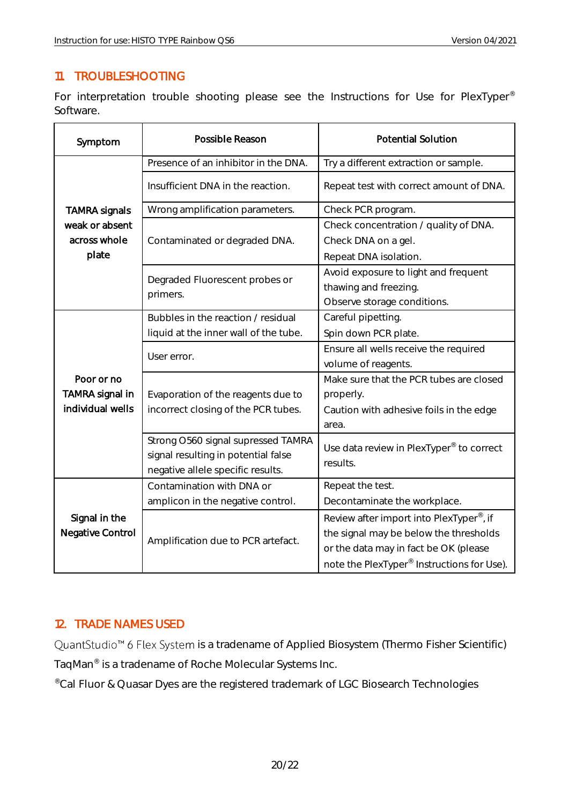## <span id="page-20-0"></span>11. TROUBLESHOOTING

For interpretation trouble shooting please see the Instructions for Use for PlexTyper® Software.

| Symptom                             | Possible Reason                       | <b>Potential Solution</b>                              |  |  |  |  |
|-------------------------------------|---------------------------------------|--------------------------------------------------------|--|--|--|--|
|                                     | Presence of an inhibitor in the DNA.  | Try a different extraction or sample.                  |  |  |  |  |
|                                     | Insufficient DNA in the reaction.     | Repeat test with correct amount of DNA.                |  |  |  |  |
| <b>TAMRA signals</b>                | Wrong amplification parameters.       | Check PCR program.                                     |  |  |  |  |
| weak or absent                      |                                       | Check concentration / quality of DNA.                  |  |  |  |  |
| across whole                        | Contaminated or degraded DNA.         | Check DNA on a gel.                                    |  |  |  |  |
| plate                               |                                       | Repeat DNA isolation.                                  |  |  |  |  |
|                                     | Degraded Fluorescent probes or        | Avoid exposure to light and frequent                   |  |  |  |  |
|                                     | primers.                              | thawing and freezing.                                  |  |  |  |  |
|                                     |                                       | Observe storage conditions.                            |  |  |  |  |
|                                     | Bubbles in the reaction / residual    | Careful pipetting.                                     |  |  |  |  |
|                                     | liquid at the inner wall of the tube. | Spin down PCR plate.                                   |  |  |  |  |
|                                     | User error.                           | Ensure all wells receive the required                  |  |  |  |  |
|                                     |                                       | volume of reagents.                                    |  |  |  |  |
| Poor or no                          |                                       | Make sure that the PCR tubes are closed                |  |  |  |  |
| TAMRA signal in<br>individual wells | Evaporation of the reagents due to    | properly.                                              |  |  |  |  |
|                                     | incorrect closing of the PCR tubes.   | Caution with adhesive foils in the edge                |  |  |  |  |
|                                     |                                       | area.                                                  |  |  |  |  |
|                                     | Strong O560 signal supressed TAMRA    | Use data review in PlexTyper <sup>®</sup> to correct   |  |  |  |  |
|                                     | signal resulting in potential false   | results.                                               |  |  |  |  |
|                                     | negative allele specific results.     |                                                        |  |  |  |  |
|                                     | Contamination with DNA or             | Repeat the test.                                       |  |  |  |  |
|                                     | amplicon in the negative control.     | Decontaminate the workplace.                           |  |  |  |  |
| Signal in the                       |                                       | Review after import into PlexTyper <sup>®</sup> , if   |  |  |  |  |
| Negative Control                    | Amplification due to PCR artefact.    | the signal may be below the thresholds                 |  |  |  |  |
|                                     |                                       | or the data may in fact be OK (please                  |  |  |  |  |
|                                     |                                       | note the PlexTyper <sup>®</sup> Instructions for Use). |  |  |  |  |

## <span id="page-20-1"></span>12. TRADE NAMES USED

QuantStudio<sup>™</sup> 6 Flex System is a tradename of Applied Biosystem (Thermo Fisher Scientific) TaqMan® is a tradename of Roche Molecular Systems Inc.

®Cal Fluor & Quasar Dyes are the registered trademark of LGC Biosearch Technologies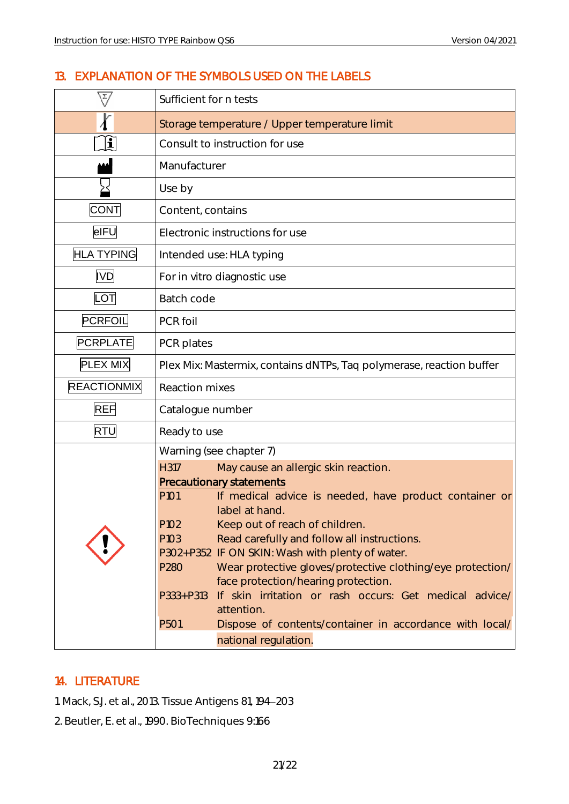## <span id="page-21-0"></span>13. EXPLANATION OF THE SYMBOLS USED ON THE LABELS

| $\overline{z}/$    | Sufficient for n tests                                               |                                                                                                 |  |  |  |  |  |  |
|--------------------|----------------------------------------------------------------------|-------------------------------------------------------------------------------------------------|--|--|--|--|--|--|
|                    |                                                                      | Storage temperature / Upper temperature limit                                                   |  |  |  |  |  |  |
| $ \mathbf{i} $     | Consult to instruction for use                                       |                                                                                                 |  |  |  |  |  |  |
|                    | Manufacturer                                                         |                                                                                                 |  |  |  |  |  |  |
|                    | Use by                                                               |                                                                                                 |  |  |  |  |  |  |
| <b>CONT</b>        | Content, contains                                                    |                                                                                                 |  |  |  |  |  |  |
| eIFU               |                                                                      | Electronic instructions for use                                                                 |  |  |  |  |  |  |
| <b>HLA TYPING</b>  |                                                                      | Intended use: HLA typing                                                                        |  |  |  |  |  |  |
| <b>IVD</b>         |                                                                      | For in vitro diagnostic use                                                                     |  |  |  |  |  |  |
| LOT                | Batch code                                                           |                                                                                                 |  |  |  |  |  |  |
| PCRFOIL            | PCR foil                                                             |                                                                                                 |  |  |  |  |  |  |
| <b>PCRPLATE</b>    | PCR plates                                                           |                                                                                                 |  |  |  |  |  |  |
| PLEX MIX           | Plex Mix: Mastermix, contains dNTPs, Taq polymerase, reaction buffer |                                                                                                 |  |  |  |  |  |  |
| <b>REACTIONMIX</b> | <b>Reaction mixes</b>                                                |                                                                                                 |  |  |  |  |  |  |
| <b>REF</b>         | Catalogue number                                                     |                                                                                                 |  |  |  |  |  |  |
| <b>RTU</b>         | Ready to use                                                         |                                                                                                 |  |  |  |  |  |  |
|                    |                                                                      | Warning (see chapter 7)                                                                         |  |  |  |  |  |  |
|                    | H317                                                                 | May cause an allergic skin reaction.                                                            |  |  |  |  |  |  |
|                    |                                                                      | <b>Precautionary statements</b>                                                                 |  |  |  |  |  |  |
|                    | P <sub>101</sub>                                                     | If medical advice is needed, have product container or                                          |  |  |  |  |  |  |
|                    |                                                                      | label at hand.                                                                                  |  |  |  |  |  |  |
|                    | P102                                                                 | Keep out of reach of children.                                                                  |  |  |  |  |  |  |
|                    | P103                                                                 | Read carefully and follow all instructions.<br>P302+P352 IF ON SKIN: Wash with plenty of water. |  |  |  |  |  |  |
|                    | P280                                                                 | Wear protective gloves/protective clothing/eye protection/                                      |  |  |  |  |  |  |
|                    |                                                                      | face protection/hearing protection.                                                             |  |  |  |  |  |  |
|                    | $P333 + P313$                                                        | If skin irritation or rash occurs: Get medical advice/                                          |  |  |  |  |  |  |
|                    |                                                                      | attention.                                                                                      |  |  |  |  |  |  |
|                    | P501                                                                 | Dispose of contents/container in accordance with local/                                         |  |  |  |  |  |  |
|                    |                                                                      | national regulation.                                                                            |  |  |  |  |  |  |

#### <span id="page-21-1"></span>14. LITERATURE

1. Mack, S.J. et al., 2013. Tissue Antigens 81, 194 203

2. Beutler, E. et al., 1990. BioTechniques 9:166